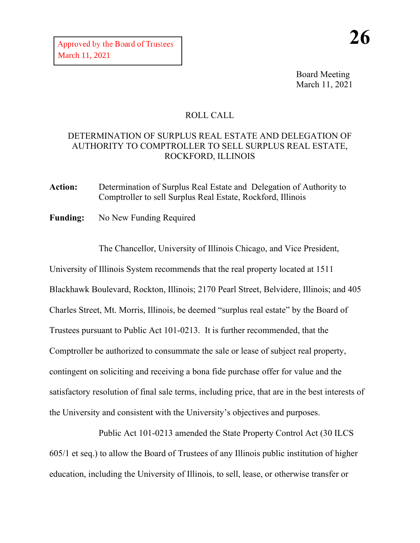Board Meeting March 11, 2021

## ROLL CALL

## DETERMINATION OF SURPLUS REAL ESTATE AND DELEGATION OF AUTHORITY TO COMPTROLLER TO SELL SURPLUS REAL ESTATE, ROCKFORD, ILLINOIS

**Action:** Determination of Surplus Real Estate and Delegation of Authority to Comptroller to sell Surplus Real Estate, Rockford, Illinois

**Funding:** No New Funding Required

The Chancellor, University of Illinois Chicago, and Vice President,

University of Illinois System recommends that the real property located at 1511 Blackhawk Boulevard, Rockton, Illinois; 2170 Pearl Street, Belvidere, Illinois; and 405 Charles Street, Mt. Morris, Illinois, be deemed "surplus real estate" by the Board of Trustees pursuant to Public Act 101-0213. It is further recommended, that the Comptroller be authorized to consummate the sale or lease of subject real property, contingent on soliciting and receiving a bona fide purchase offer for value and the satisfactory resolution of final sale terms, including price, that are in the best interests of the University and consistent with the University's objectives and purposes.

Public Act 101-0213 amended the State Property Control Act (30 ILCS 605/1 et seq.) to allow the Board of Trustees of any Illinois public institution of higher education, including the University of Illinois, to sell, lease, or otherwise transfer or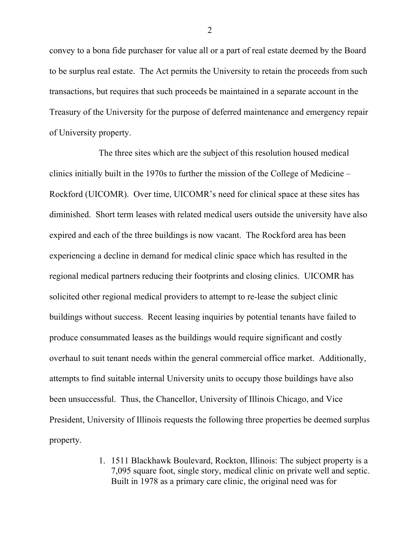convey to a bona fide purchaser for value all or a part of real estate deemed by the Board to be surplus real estate. The Act permits the University to retain the proceeds from such transactions, but requires that such proceeds be maintained in a separate account in the Treasury of the University for the purpose of deferred maintenance and emergency repair of University property.

The three sites which are the subject of this resolution housed medical clinics initially built in the 1970s to further the mission of the College of Medicine – Rockford (UICOMR). Over time, UICOMR's need for clinical space at these sites has diminished. Short term leases with related medical users outside the university have also expired and each of the three buildings is now vacant. The Rockford area has been experiencing a decline in demand for medical clinic space which has resulted in the regional medical partners reducing their footprints and closing clinics. UICOMR has solicited other regional medical providers to attempt to re-lease the subject clinic buildings without success. Recent leasing inquiries by potential tenants have failed to produce consummated leases as the buildings would require significant and costly overhaul to suit tenant needs within the general commercial office market. Additionally, attempts to find suitable internal University units to occupy those buildings have also been unsuccessful. Thus, the Chancellor, University of Illinois Chicago, and Vice President, University of Illinois requests the following three properties be deemed surplus property.

> 1. 1511 Blackhawk Boulevard, Rockton, Illinois: The subject property is a 7,095 square foot, single story, medical clinic on private well and septic. Built in 1978 as a primary care clinic, the original need was for

2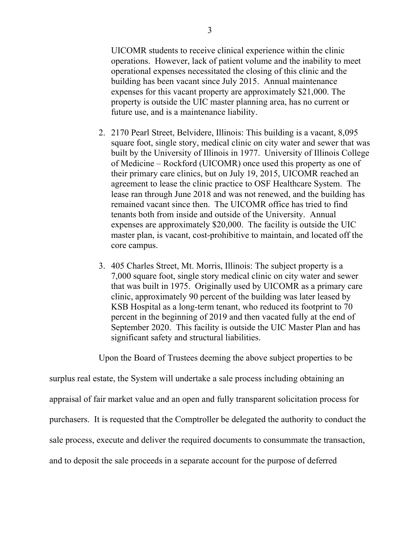UICOMR students to receive clinical experience within the clinic operations. However, lack of patient volume and the inability to meet operational expenses necessitated the closing of this clinic and the building has been vacant since July 2015. Annual maintenance expenses for this vacant property are approximately \$21,000. The property is outside the UIC master planning area, has no current or future use, and is a maintenance liability.

- 2. 2170 Pearl Street, Belvidere, Illinois: This building is a vacant, 8,095 square foot, single story, medical clinic on city water and sewer that was built by the University of Illinois in 1977. University of Illinois College of Medicine – Rockford (UICOMR) once used this property as one of their primary care clinics, but on July 19, 2015, UICOMR reached an agreement to lease the clinic practice to OSF Healthcare System. The lease ran through June 2018 and was not renewed, and the building has remained vacant since then. The UICOMR office has tried to find tenants both from inside and outside of the University. Annual expenses are approximately \$20,000. The facility is outside the UIC master plan, is vacant, cost-prohibitive to maintain, and located off the core campus.
- 3. 405 Charles Street, Mt. Morris, Illinois: The subject property is a 7,000 square foot, single story medical clinic on city water and sewer that was built in 1975. Originally used by UICOMR as a primary care clinic, approximately 90 percent of the building was later leased by KSB Hospital as a long-term tenant, who reduced its footprint to 70 percent in the beginning of 2019 and then vacated fully at the end of September 2020. This facility is outside the UIC Master Plan and has significant safety and structural liabilities.

Upon the Board of Trustees deeming the above subject properties to be

surplus real estate, the System will undertake a sale process including obtaining an appraisal of fair market value and an open and fully transparent solicitation process for purchasers. It is requested that the Comptroller be delegated the authority to conduct the sale process, execute and deliver the required documents to consummate the transaction, and to deposit the sale proceeds in a separate account for the purpose of deferred